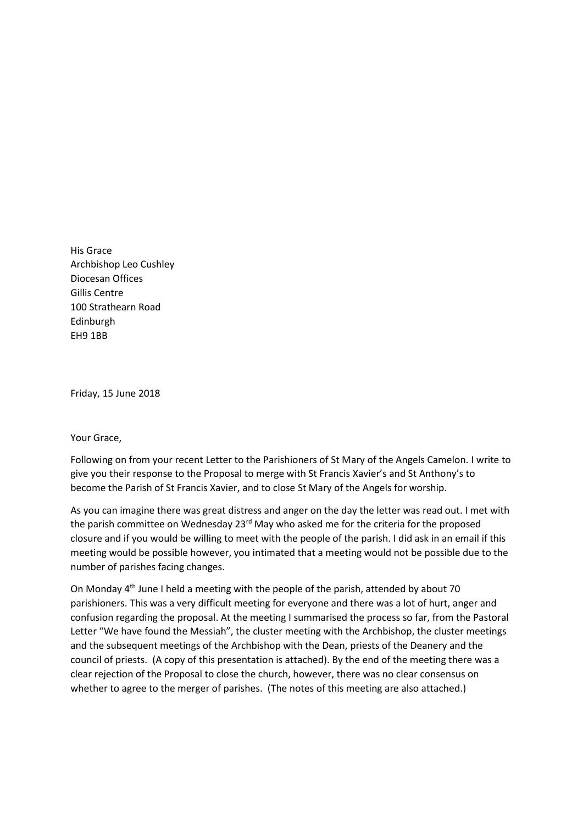His Grace Archbishop Leo Cushley Diocesan Offices Gillis Centre 100 Strathearn Road Edinburgh EH9 1BB

Friday, 15 June 2018

## Your Grace,

Following on from your recent Letter to the Parishioners of St Mary of the Angels Camelon. I write to give you their response to the Proposal to merge with St Francis Xavier's and St Anthony's to become the Parish of St Francis Xavier, and to close St Mary of the Angels for worship.

As you can imagine there was great distress and anger on the day the letter was read out. I met with the parish committee on Wednesday 23<sup>rd</sup> May who asked me for the criteria for the proposed closure and if you would be willing to meet with the people of the parish. I did ask in an email if this meeting would be possible however, you intimated that a meeting would not be possible due to the number of parishes facing changes.

On Monday 4th June I held a meeting with the people of the parish, attended by about 70 parishioners. This was a very difficult meeting for everyone and there was a lot of hurt, anger and confusion regarding the proposal. At the meeting I summarised the process so far, from the Pastoral Letter "We have found the Messiah", the cluster meeting with the Archbishop, the cluster meetings and the subsequent meetings of the Archbishop with the Dean, priests of the Deanery and the council of priests. (A copy of this presentation is attached). By the end of the meeting there was a clear rejection of the Proposal to close the church, however, there was no clear consensus on whether to agree to the merger of parishes. (The notes of this meeting are also attached.)